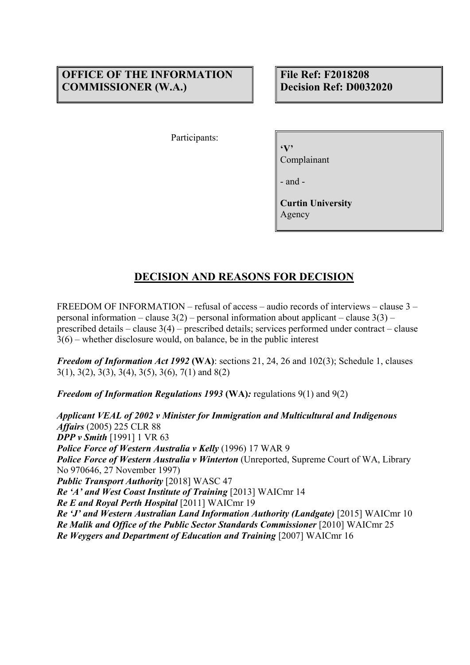# **OFFICE OF THE INFORMATION COMMISSIONER (W.A.)**

**File Ref: F2018208 Decision Ref: D0032020** 

Participants:

**'V'** 

Complainant

- and -

**Curtin University**  Agency

# **DECISION AND REASONS FOR DECISION**

FREEDOM OF INFORMATION – refusal of access – audio records of interviews – clause 3 – personal information – clause  $3(2)$  – personal information about applicant – clause  $3(3)$  – prescribed details – clause 3(4) – prescribed details; services performed under contract – clause 3(6) – whether disclosure would, on balance, be in the public interest

*Freedom of Information Act 1992* **(WA)**: sections 21, 24, 26 and 102(3); Schedule 1, clauses 3(1), 3(2), 3(3), 3(4), 3(5), 3(6), 7(1) and 8(2)

*Freedom of Information Regulations 1993* **(WA)***:* regulations 9(1) and 9(2)

*Applicant VEAL of 2002 v Minister for Immigration and Multicultural and Indigenous Affairs* (2005) 225 CLR 88 *DPP v Smith* [1991] 1 VR 63 *Police Force of Western Australia v Kelly* (1996) 17 WAR 9 *Police Force of Western Australia v Winterton* (Unreported, Supreme Court of WA, Library No 970646, 27 November 1997) *Public Transport Authority* [2018] WASC 47 *Re 'A' and West Coast Institute of Training* [2013] WAICmr 14 *Re E and Royal Perth Hospital* [2011] WAICmr 19 *Re 'J' and Western Australian Land Information Authority (Landgate)* [2015] WAICmr 10 *Re Malik and Office of the Public Sector Standards Commissioner* [2010] WAICmr 25 *Re Weygers and Department of Education and Training* [2007] WAICmr 16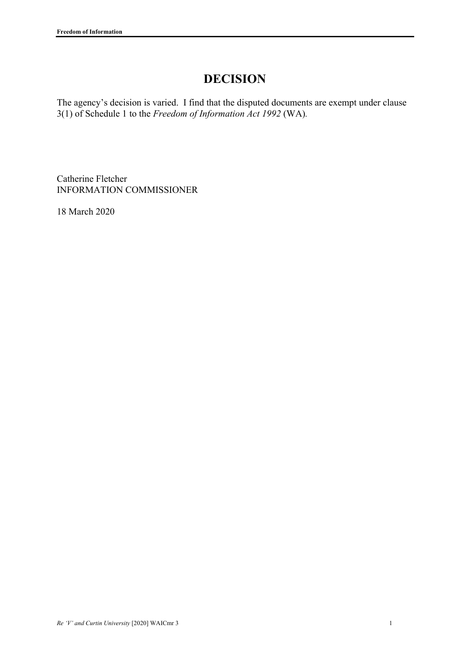# **DECISION**

The agency's decision is varied. I find that the disputed documents are exempt under clause 3(1) of Schedule 1 to the *Freedom of Information Act 1992* (WA)*.*

Catherine Fletcher INFORMATION COMMISSIONER

18 March 2020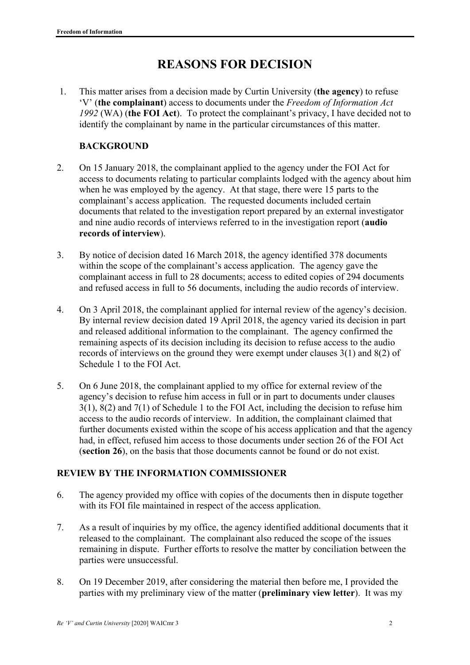# **REASONS FOR DECISION**

1. This matter arises from a decision made by Curtin University (**the agency**) to refuse 'V' (**the complainant**) access to documents under the *Freedom of Information Act 1992* (WA) (**the FOI Act**). To protect the complainant's privacy, I have decided not to identify the complainant by name in the particular circumstances of this matter.

# **BACKGROUND**

- 2. On 15 January 2018, the complainant applied to the agency under the FOI Act for access to documents relating to particular complaints lodged with the agency about him when he was employed by the agency. At that stage, there were 15 parts to the complainant's access application. The requested documents included certain documents that related to the investigation report prepared by an external investigator and nine audio records of interviews referred to in the investigation report (**audio records of interview**).
- 3. By notice of decision dated 16 March 2018, the agency identified 378 documents within the scope of the complainant's access application. The agency gave the complainant access in full to 28 documents; access to edited copies of 294 documents and refused access in full to 56 documents, including the audio records of interview.
- 4. On 3 April 2018, the complainant applied for internal review of the agency's decision. By internal review decision dated 19 April 2018, the agency varied its decision in part and released additional information to the complainant. The agency confirmed the remaining aspects of its decision including its decision to refuse access to the audio records of interviews on the ground they were exempt under clauses 3(1) and 8(2) of Schedule 1 to the FOI Act.
- 5. On 6 June 2018, the complainant applied to my office for external review of the agency's decision to refuse him access in full or in part to documents under clauses 3(1), 8(2) and 7(1) of Schedule 1 to the FOI Act, including the decision to refuse him access to the audio records of interview. In addition, the complainant claimed that further documents existed within the scope of his access application and that the agency had, in effect, refused him access to those documents under section 26 of the FOI Act (**section 26**), on the basis that those documents cannot be found or do not exist.

# **REVIEW BY THE INFORMATION COMMISSIONER**

- 6. The agency provided my office with copies of the documents then in dispute together with its FOI file maintained in respect of the access application.
- 7. As a result of inquiries by my office, the agency identified additional documents that it released to the complainant. The complainant also reduced the scope of the issues remaining in dispute. Further efforts to resolve the matter by conciliation between the parties were unsuccessful.
- 8. On 19 December 2019, after considering the material then before me, I provided the parties with my preliminary view of the matter (**preliminary view letter**). It was my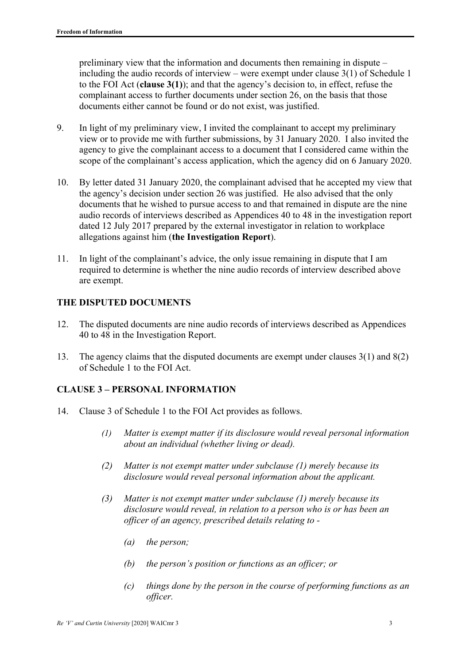preliminary view that the information and documents then remaining in dispute – including the audio records of interview – were exempt under clause 3(1) of Schedule 1 to the FOI Act (**clause 3(1)**); and that the agency's decision to, in effect, refuse the complainant access to further documents under section 26, on the basis that those documents either cannot be found or do not exist, was justified.

- 9. In light of my preliminary view, I invited the complainant to accept my preliminary view or to provide me with further submissions, by 31 January 2020. I also invited the agency to give the complainant access to a document that I considered came within the scope of the complainant's access application, which the agency did on 6 January 2020.
- 10. By letter dated 31 January 2020, the complainant advised that he accepted my view that the agency's decision under section 26 was justified. He also advised that the only documents that he wished to pursue access to and that remained in dispute are the nine audio records of interviews described as Appendices 40 to 48 in the investigation report dated 12 July 2017 prepared by the external investigator in relation to workplace allegations against him (**the Investigation Report**).
- 11. In light of the complainant's advice, the only issue remaining in dispute that I am required to determine is whether the nine audio records of interview described above are exempt.

# **THE DISPUTED DOCUMENTS**

- 12. The disputed documents are nine audio records of interviews described as Appendices 40 to 48 in the Investigation Report.
- 13. The agency claims that the disputed documents are exempt under clauses 3(1) and 8(2) of Schedule 1 to the FOI Act.

# **CLAUSE 3 – PERSONAL INFORMATION**

- 14. Clause 3 of Schedule 1 to the FOI Act provides as follows.
	- *(1) Matter is exempt matter if its disclosure would reveal personal information about an individual (whether living or dead).*
	- *(2) Matter is not exempt matter under subclause (1) merely because its disclosure would reveal personal information about the applicant.*
	- *(3) Matter is not exempt matter under subclause (1) merely because its disclosure would reveal, in relation to a person who is or has been an officer of an agency, prescribed details relating to -* 
		- *(a) the person;*
		- *(b) the person's position or functions as an officer; or*
		- *(c) things done by the person in the course of performing functions as an officer.*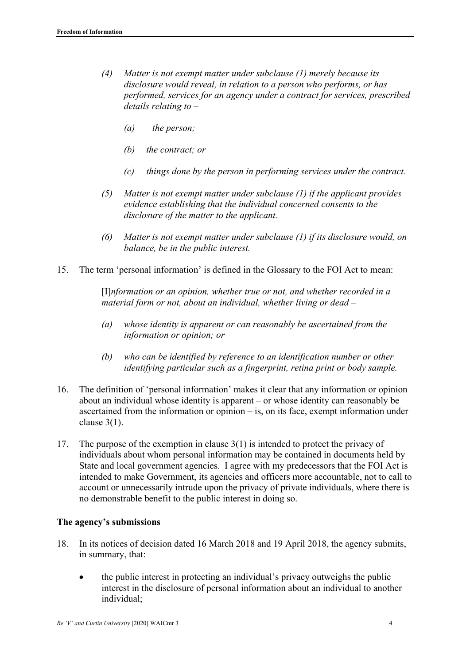- *(4) Matter is not exempt matter under subclause (1) merely because its disclosure would reveal, in relation to a person who performs, or has performed, services for an agency under a contract for services, prescribed details relating to –* 
	- *(a) the person;*
	- *(b) the contract; or*
	- *(c) things done by the person in performing services under the contract.*
- *(5) Matter is not exempt matter under subclause (1) if the applicant provides evidence establishing that the individual concerned consents to the disclosure of the matter to the applicant.*
- *(6) Matter is not exempt matter under subclause (1) if its disclosure would, on balance, be in the public interest.*
- 15. The term 'personal information' is defined in the Glossary to the FOI Act to mean:

[I]*nformation or an opinion, whether true or not, and whether recorded in a material form or not, about an individual, whether living or dead –* 

- *(a) whose identity is apparent or can reasonably be ascertained from the information or opinion; or*
- *(b) who can be identified by reference to an identification number or other identifying particular such as a fingerprint, retina print or body sample.*
- 16. The definition of 'personal information' makes it clear that any information or opinion about an individual whose identity is apparent – or whose identity can reasonably be ascertained from the information or opinion – is, on its face, exempt information under clause 3(1).
- 17. The purpose of the exemption in clause 3(1) is intended to protect the privacy of individuals about whom personal information may be contained in documents held by State and local government agencies. I agree with my predecessors that the FOI Act is intended to make Government, its agencies and officers more accountable, not to call to account or unnecessarily intrude upon the privacy of private individuals, where there is no demonstrable benefit to the public interest in doing so.

#### **The agency's submissions**

- 18. In its notices of decision dated 16 March 2018 and 19 April 2018, the agency submits, in summary, that:
	- the public interest in protecting an individual's privacy outweighs the public interest in the disclosure of personal information about an individual to another individual;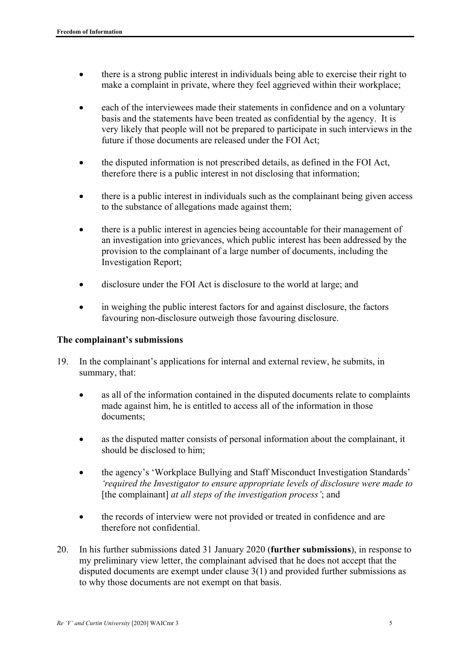- there is a strong public interest in individuals being able to exercise their right to make a complaint in private, where they feel aggrieved within their workplace;
- each of the interviewees made their statements in confidence and on a voluntary basis and the statements have been treated as confidential by the agency. It is very likely that people will not be prepared to participate in such interviews in the future if those documents are released under the FOI Act;
- the disputed information is not prescribed details, as defined in the FOI Act, therefore there is a public interest in not disclosing that information;
- there is a public interest in individuals such as the complainant being given access to the substance of allegations made against them;
- there is a public interest in agencies being accountable for their management of an investigation into grievances, which public interest has been addressed by the provision to the complainant of a large number of documents, including the Investigation Report;
- disclosure under the FOI Act is disclosure to the world at large; and
- in weighing the public interest factors for and against disclosure, the factors favouring non-disclosure outweigh those favouring disclosure.

#### **The complainant's submissions**

- 19. In the complainant's applications for internal and external review, he submits, in summary, that:
	- as all of the information contained in the disputed documents relate to complaints made against him, he is entitled to access all of the information in those documents;
	- as the disputed matter consists of personal information about the complainant, it should be disclosed to him;
	- the agency's 'Workplace Bullying and Staff Misconduct Investigation Standards' *'required the Investigator to ensure appropriate levels of disclosure were made to*  [the complainant] *at all steps of the investigation process'*; and
	- the records of interview were not provided or treated in confidence and are therefore not confidential.
- 20. In his further submissions dated 31 January 2020 (**further submissions**), in response to my preliminary view letter, the complainant advised that he does not accept that the disputed documents are exempt under clause 3(1) and provided further submissions as to why those documents are not exempt on that basis.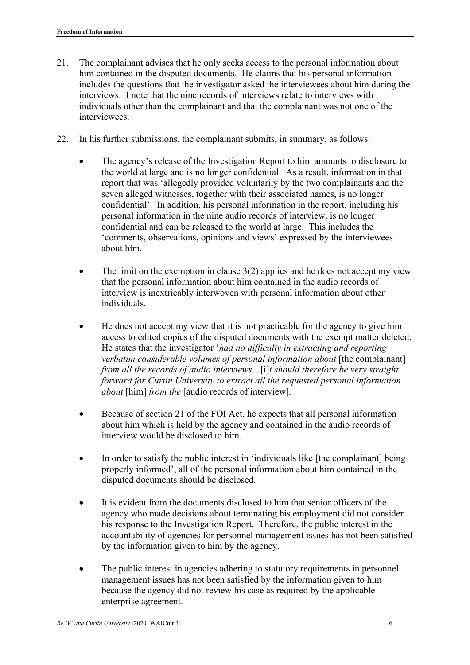- 21. The complainant advises that he only seeks access to the personal information about him contained in the disputed documents. He claims that his personal information includes the questions that the investigator asked the interviewees about him during the interviews. I note that the nine records of interviews relate to interviews with individuals other than the complainant and that the complainant was not one of the interviewees.
- 22. In his further submissions, the complainant submits, in summary, as follows:
	- The agency's release of the Investigation Report to him amounts to disclosure to the world at large and is no longer confidential. As a result, information in that report that was 'allegedly provided voluntarily by the two complainants and the seven alleged witnesses, together with their associated names, is no longer confidential'. In addition, his personal information in the report, including his personal information in the nine audio records of interview, is no longer confidential and can be released to the world at large. This includes the 'comments, observations, opinions and views' expressed by the interviewees about him.
	- The limit on the exemption in clause  $3(2)$  applies and he does not accept my view that the personal information about him contained in the audio records of interview is inextricably interwoven with personal information about other individuals.
	- He does not accept my view that it is not practicable for the agency to give him access to edited copies of the disputed documents with the exempt matter deleted. He states that the investigator '*had no difficulty in extracting and reporting verbatim considerable volumes of personal information about* [the complainant] *from all the records of audio interviews…*[i]*t should therefore be very straight forward for Curtin University to extract all the requested personal information about* [him] *from the* [audio records of interview]*.*
	- Because of section 21 of the FOI Act, he expects that all personal information about him which is held by the agency and contained in the audio records of interview would be disclosed to him.
	- In order to satisfy the public interest in 'individuals like [the complainant] being properly informed', all of the personal information about him contained in the disputed documents should be disclosed.
	- It is evident from the documents disclosed to him that senior officers of the agency who made decisions about terminating his employment did not consider his response to the Investigation Report. Therefore, the public interest in the accountability of agencies for personnel management issues has not been satisfied by the information given to him by the agency.
	- The public interest in agencies adhering to statutory requirements in personnel management issues has not been satisfied by the information given to him because the agency did not review his case as required by the applicable enterprise agreement.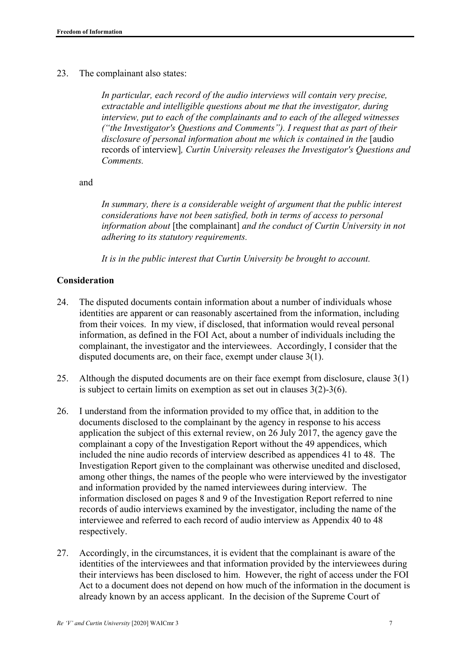23. The complainant also states:

*In particular, each record of the audio interviews will contain very precise, extractable and intelligible questions about me that the investigator, during interview, put to each of the complainants and to each of the alleged witnesses ("the Investigator's Questions and Comments"). I request that as part of their disclosure of personal information about me which is contained in the* [audio records of interview]*, Curtin University releases the Investigator's Questions and Comments.*

and

*In summary, there is a considerable weight of argument that the public interest considerations have not been satisfied, both in terms of access to personal information about* [the complainant] *and the conduct of Curtin University in not adhering to its statutory requirements.* 

*It is in the public interest that Curtin University be brought to account.* 

#### **Consideration**

- 24. The disputed documents contain information about a number of individuals whose identities are apparent or can reasonably ascertained from the information, including from their voices. In my view, if disclosed, that information would reveal personal information, as defined in the FOI Act, about a number of individuals including the complainant, the investigator and the interviewees. Accordingly, I consider that the disputed documents are, on their face, exempt under clause 3(1).
- 25. Although the disputed documents are on their face exempt from disclosure, clause 3(1) is subject to certain limits on exemption as set out in clauses 3(2)-3(6).
- 26. I understand from the information provided to my office that, in addition to the documents disclosed to the complainant by the agency in response to his access application the subject of this external review, on 26 July 2017, the agency gave the complainant a copy of the Investigation Report without the 49 appendices, which included the nine audio records of interview described as appendices 41 to 48. The Investigation Report given to the complainant was otherwise unedited and disclosed, among other things, the names of the people who were interviewed by the investigator and information provided by the named interviewees during interview. The information disclosed on pages 8 and 9 of the Investigation Report referred to nine records of audio interviews examined by the investigator, including the name of the interviewee and referred to each record of audio interview as Appendix 40 to 48 respectively.
- 27. Accordingly, in the circumstances, it is evident that the complainant is aware of the identities of the interviewees and that information provided by the interviewees during their interviews has been disclosed to him. However, the right of access under the FOI Act to a document does not depend on how much of the information in the document is already known by an access applicant. In the decision of the Supreme Court of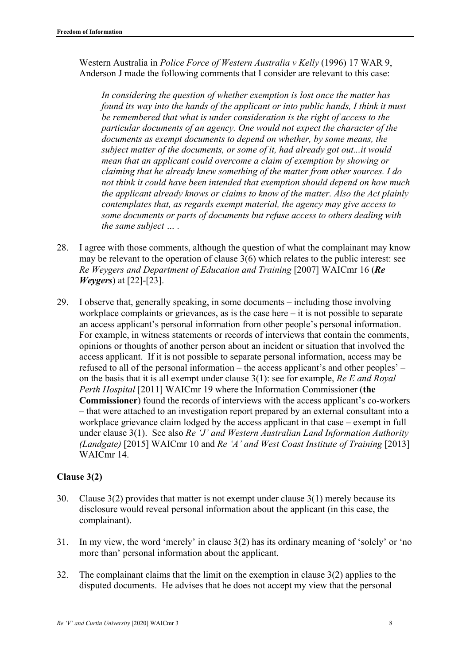Western Australia in *Police Force of Western Australia v Kelly* (1996) 17 WAR 9, Anderson J made the following comments that I consider are relevant to this case:

*In considering the question of whether exemption is lost once the matter has found its way into the hands of the applicant or into public hands, I think it must be remembered that what is under consideration is the right of access to the particular documents of an agency. One would not expect the character of the documents as exempt documents to depend on whether, by some means, the subject matter of the documents, or some of it, had already got out...it would mean that an applicant could overcome a claim of exemption by showing or claiming that he already knew something of the matter from other sources. I do not think it could have been intended that exemption should depend on how much the applicant already knows or claims to know of the matter. Also the Act plainly contemplates that, as regards exempt material, the agency may give access to some documents or parts of documents but refuse access to others dealing with the same subject … .* 

- 28. I agree with those comments, although the question of what the complainant may know may be relevant to the operation of clause 3(6) which relates to the public interest: see *Re Weygers and Department of Education and Training* [2007] WAICmr 16 (*Re Weygers*) at [22]-[23].
- 29. I observe that, generally speaking, in some documents including those involving workplace complaints or grievances, as is the case here – it is not possible to separate an access applicant's personal information from other people's personal information. For example, in witness statements or records of interviews that contain the comments, opinions or thoughts of another person about an incident or situation that involved the access applicant. If it is not possible to separate personal information, access may be refused to all of the personal information – the access applicant's and other peoples' – on the basis that it is all exempt under clause 3(1): see for example, *Re E and Royal Perth Hospital* [2011] WAICmr 19 where the Information Commissioner (**the Commissioner**) found the records of interviews with the access applicant's co-workers – that were attached to an investigation report prepared by an external consultant into a workplace grievance claim lodged by the access applicant in that case – exempt in full under clause 3(1). See also *Re 'J' and Western Australian Land Information Authority (Landgate)* [2015] WAICmr 10 and *Re 'A' and West Coast Institute of Training* [2013] WAICmr 14.

#### **Clause 3(2)**

- 30. Clause 3(2) provides that matter is not exempt under clause 3(1) merely because its disclosure would reveal personal information about the applicant (in this case, the complainant).
- 31. In my view, the word 'merely' in clause 3(2) has its ordinary meaning of 'solely' or 'no more than' personal information about the applicant.
- 32. The complainant claims that the limit on the exemption in clause 3(2) applies to the disputed documents. He advises that he does not accept my view that the personal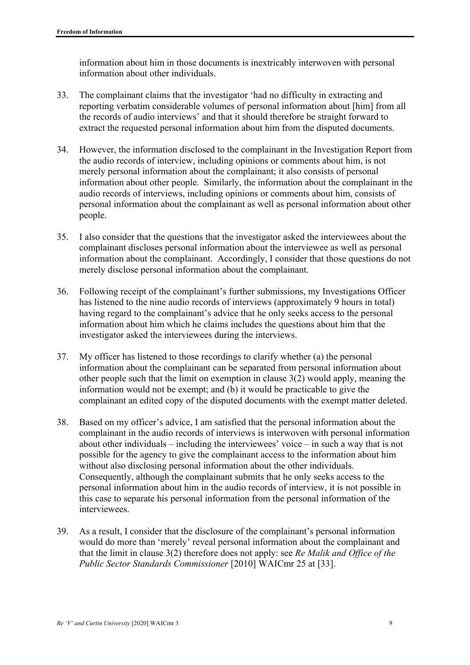information about him in those documents is inextricably interwoven with personal information about other individuals.

- 33. The complainant claims that the investigator 'had no difficulty in extracting and reporting verbatim considerable volumes of personal information about [him] from all the records of audio interviews' and that it should therefore be straight forward to extract the requested personal information about him from the disputed documents.
- 34. However, the information disclosed to the complainant in the Investigation Report from the audio records of interview, including opinions or comments about him, is not merely personal information about the complainant; it also consists of personal information about other people. Similarly, the information about the complainant in the audio records of interviews, including opinions or comments about him, consists of personal information about the complainant as well as personal information about other people.
- 35. I also consider that the questions that the investigator asked the interviewees about the complainant discloses personal information about the interviewee as well as personal information about the complainant. Accordingly, I consider that those questions do not merely disclose personal information about the complainant.
- 36. Following receipt of the complainant's further submissions, my Investigations Officer has listened to the nine audio records of interviews (approximately 9 hours in total) having regard to the complainant's advice that he only seeks access to the personal information about him which he claims includes the questions about him that the investigator asked the interviewees during the interviews.
- 37. My officer has listened to those recordings to clarify whether (a) the personal information about the complainant can be separated from personal information about other people such that the limit on exemption in clause 3(2) would apply, meaning the information would not be exempt; and (b) it would be practicable to give the complainant an edited copy of the disputed documents with the exempt matter deleted.
- 38. Based on my officer's advice, I am satisfied that the personal information about the complainant in the audio records of interviews is interwoven with personal information about other individuals – including the interviewees' voice – in such a way that is not possible for the agency to give the complainant access to the information about him without also disclosing personal information about the other individuals. Consequently, although the complainant submits that he only seeks access to the personal information about him in the audio records of interview, it is not possible in this case to separate his personal information from the personal information of the interviewees.
- 39. As a result, I consider that the disclosure of the complainant's personal information would do more than 'merely' reveal personal information about the complainant and that the limit in clause 3(2) therefore does not apply: see *Re Malik and Office of the Public Sector Standards Commissioner* [2010] WAICmr 25 at [33].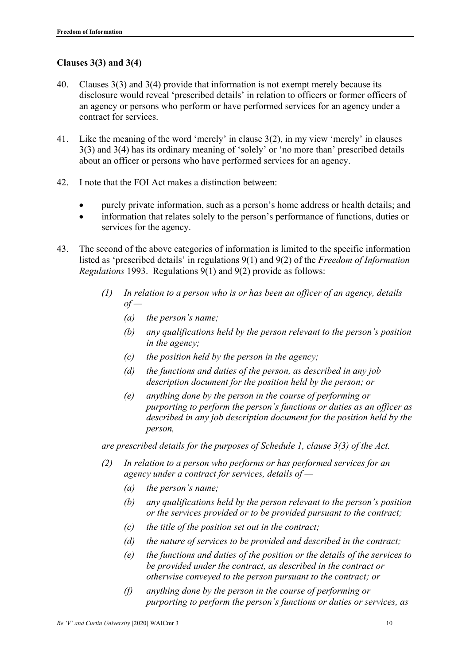### **Clauses 3(3) and 3(4)**

- 40. Clauses 3(3) and 3(4) provide that information is not exempt merely because its disclosure would reveal 'prescribed details' in relation to officers or former officers of an agency or persons who perform or have performed services for an agency under a contract for services.
- 41. Like the meaning of the word 'merely' in clause 3(2), in my view 'merely' in clauses 3(3) and 3(4) has its ordinary meaning of 'solely' or 'no more than' prescribed details about an officer or persons who have performed services for an agency.
- 42. I note that the FOI Act makes a distinction between:
	- purely private information, such as a person's home address or health details; and
	- information that relates solely to the person's performance of functions, duties or services for the agency.
- 43. The second of the above categories of information is limited to the specific information listed as 'prescribed details' in regulations 9(1) and 9(2) of the *Freedom of Information Regulations* 1993. Regulations 9(1) and 9(2) provide as follows:
	- *(1) In relation to a person who is or has been an officer of an agency, details of —* 
		- *(a) the person's name;*
		- *(b) any qualifications held by the person relevant to the person's position in the agency;*
		- *(c) the position held by the person in the agency;*
		- *(d) the functions and duties of the person, as described in any job description document for the position held by the person; or*
		- *(e) anything done by the person in the course of performing or purporting to perform the person's functions or duties as an officer as described in any job description document for the position held by the person,*

*are prescribed details for the purposes of Schedule 1, clause 3(3) of the Act.* 

- *(2) In relation to a person who performs or has performed services for an agency under a contract for services, details of —* 
	- *(a) the person's name;*
	- *(b) any qualifications held by the person relevant to the person's position or the services provided or to be provided pursuant to the contract;*
	- *(c) the title of the position set out in the contract;*
	- *(d) the nature of services to be provided and described in the contract;*
	- *(e) the functions and duties of the position or the details of the services to be provided under the contract, as described in the contract or otherwise conveyed to the person pursuant to the contract; or*
	- *(f) anything done by the person in the course of performing or purporting to perform the person's functions or duties or services, as*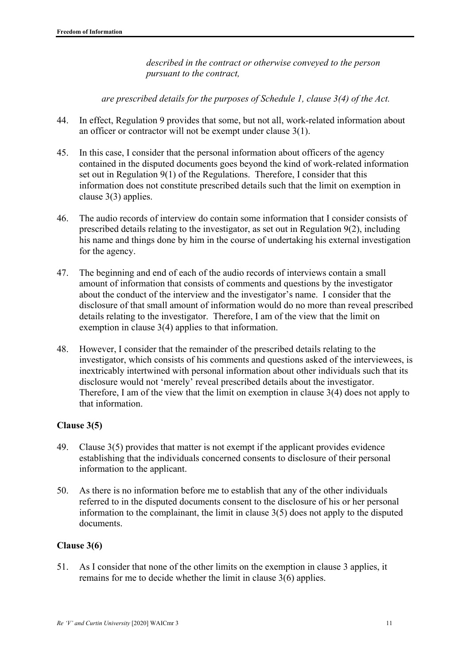*described in the contract or otherwise conveyed to the person pursuant to the contract,* 

*are prescribed details for the purposes of Schedule 1, clause 3(4) of the Act.* 

- 44. In effect, Regulation 9 provides that some, but not all, work-related information about an officer or contractor will not be exempt under clause 3(1).
- 45. In this case, I consider that the personal information about officers of the agency contained in the disputed documents goes beyond the kind of work-related information set out in Regulation 9(1) of the Regulations. Therefore, I consider that this information does not constitute prescribed details such that the limit on exemption in clause 3(3) applies.
- 46. The audio records of interview do contain some information that I consider consists of prescribed details relating to the investigator, as set out in Regulation 9(2), including his name and things done by him in the course of undertaking his external investigation for the agency.
- 47. The beginning and end of each of the audio records of interviews contain a small amount of information that consists of comments and questions by the investigator about the conduct of the interview and the investigator's name. I consider that the disclosure of that small amount of information would do no more than reveal prescribed details relating to the investigator. Therefore, I am of the view that the limit on exemption in clause 3(4) applies to that information.
- 48. However, I consider that the remainder of the prescribed details relating to the investigator, which consists of his comments and questions asked of the interviewees, is inextricably intertwined with personal information about other individuals such that its disclosure would not 'merely' reveal prescribed details about the investigator. Therefore, I am of the view that the limit on exemption in clause 3(4) does not apply to that information.

# **Clause 3(5)**

- 49. Clause 3(5) provides that matter is not exempt if the applicant provides evidence establishing that the individuals concerned consents to disclosure of their personal information to the applicant.
- 50. As there is no information before me to establish that any of the other individuals referred to in the disputed documents consent to the disclosure of his or her personal information to the complainant, the limit in clause 3(5) does not apply to the disputed documents.

#### **Clause 3(6)**

51. As I consider that none of the other limits on the exemption in clause 3 applies, it remains for me to decide whether the limit in clause 3(6) applies.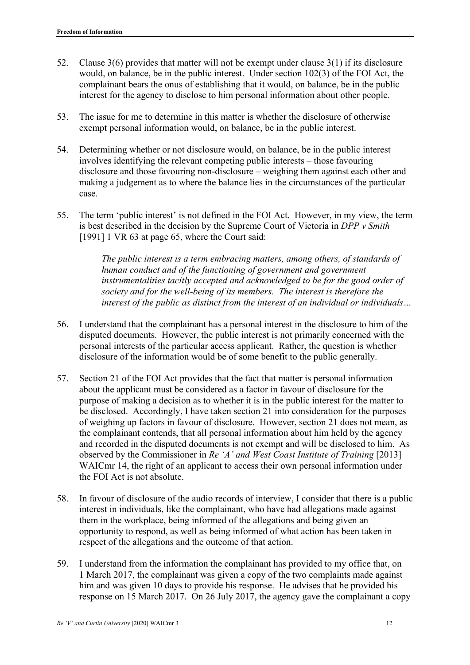- 52. Clause 3(6) provides that matter will not be exempt under clause 3(1) if its disclosure would, on balance, be in the public interest. Under section 102(3) of the FOI Act, the complainant bears the onus of establishing that it would, on balance, be in the public interest for the agency to disclose to him personal information about other people.
- 53. The issue for me to determine in this matter is whether the disclosure of otherwise exempt personal information would, on balance, be in the public interest.
- 54. Determining whether or not disclosure would, on balance, be in the public interest involves identifying the relevant competing public interests – those favouring disclosure and those favouring non-disclosure – weighing them against each other and making a judgement as to where the balance lies in the circumstances of the particular case.
- 55. The term 'public interest' is not defined in the FOI Act. However, in my view, the term is best described in the decision by the Supreme Court of Victoria in *DPP v Smith* [1991] 1 VR 63 at page 65, where the Court said:

*The public interest is a term embracing matters, among others, of standards of human conduct and of the functioning of government and government instrumentalities tacitly accepted and acknowledged to be for the good order of society and for the well-being of its members. The interest is therefore the interest of the public as distinct from the interest of an individual or individuals…* 

- 56. I understand that the complainant has a personal interest in the disclosure to him of the disputed documents. However, the public interest is not primarily concerned with the personal interests of the particular access applicant. Rather, the question is whether disclosure of the information would be of some benefit to the public generally.
- 57. Section 21 of the FOI Act provides that the fact that matter is personal information about the applicant must be considered as a factor in favour of disclosure for the purpose of making a decision as to whether it is in the public interest for the matter to be disclosed. Accordingly, I have taken section 21 into consideration for the purposes of weighing up factors in favour of disclosure. However, section 21 does not mean, as the complainant contends, that all personal information about him held by the agency and recorded in the disputed documents is not exempt and will be disclosed to him. As observed by the Commissioner in *Re 'A' and West Coast Institute of Training* [2013] WAICmr 14, the right of an applicant to access their own personal information under the FOI Act is not absolute.
- 58. In favour of disclosure of the audio records of interview, I consider that there is a public interest in individuals, like the complainant, who have had allegations made against them in the workplace, being informed of the allegations and being given an opportunity to respond, as well as being informed of what action has been taken in respect of the allegations and the outcome of that action.
- 59. I understand from the information the complainant has provided to my office that, on 1 March 2017, the complainant was given a copy of the two complaints made against him and was given 10 days to provide his response. He advises that he provided his response on 15 March 2017. On 26 July 2017, the agency gave the complainant a copy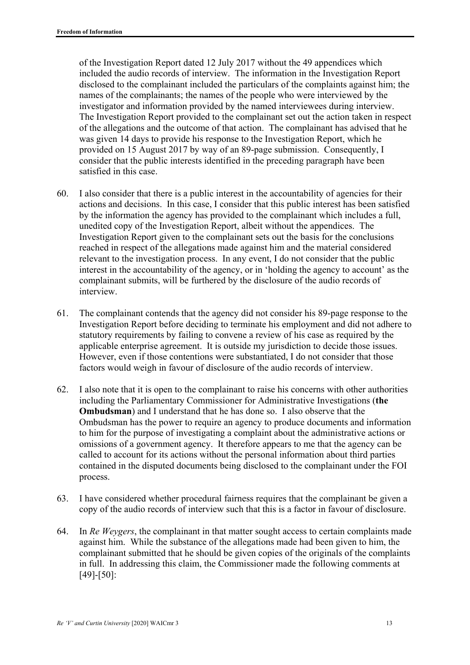of the Investigation Report dated 12 July 2017 without the 49 appendices which included the audio records of interview. The information in the Investigation Report disclosed to the complainant included the particulars of the complaints against him; the names of the complainants; the names of the people who were interviewed by the investigator and information provided by the named interviewees during interview. The Investigation Report provided to the complainant set out the action taken in respect of the allegations and the outcome of that action. The complainant has advised that he was given 14 days to provide his response to the Investigation Report, which he provided on 15 August 2017 by way of an 89-page submission. Consequently, I consider that the public interests identified in the preceding paragraph have been satisfied in this case.

- 60. I also consider that there is a public interest in the accountability of agencies for their actions and decisions. In this case, I consider that this public interest has been satisfied by the information the agency has provided to the complainant which includes a full, unedited copy of the Investigation Report, albeit without the appendices. The Investigation Report given to the complainant sets out the basis for the conclusions reached in respect of the allegations made against him and the material considered relevant to the investigation process. In any event, I do not consider that the public interest in the accountability of the agency, or in 'holding the agency to account' as the complainant submits, will be furthered by the disclosure of the audio records of interview.
- 61. The complainant contends that the agency did not consider his 89-page response to the Investigation Report before deciding to terminate his employment and did not adhere to statutory requirements by failing to convene a review of his case as required by the applicable enterprise agreement. It is outside my jurisdiction to decide those issues. However, even if those contentions were substantiated, I do not consider that those factors would weigh in favour of disclosure of the audio records of interview.
- 62. I also note that it is open to the complainant to raise his concerns with other authorities including the Parliamentary Commissioner for Administrative Investigations (**the Ombudsman**) and I understand that he has done so. I also observe that the Ombudsman has the power to require an agency to produce documents and information to him for the purpose of investigating a complaint about the administrative actions or omissions of a government agency. It therefore appears to me that the agency can be called to account for its actions without the personal information about third parties contained in the disputed documents being disclosed to the complainant under the FOI process.
- 63. I have considered whether procedural fairness requires that the complainant be given a copy of the audio records of interview such that this is a factor in favour of disclosure.
- 64. In *Re Weygers*, the complainant in that matter sought access to certain complaints made against him. While the substance of the allegations made had been given to him, the complainant submitted that he should be given copies of the originals of the complaints in full. In addressing this claim, the Commissioner made the following comments at [49]-[50]: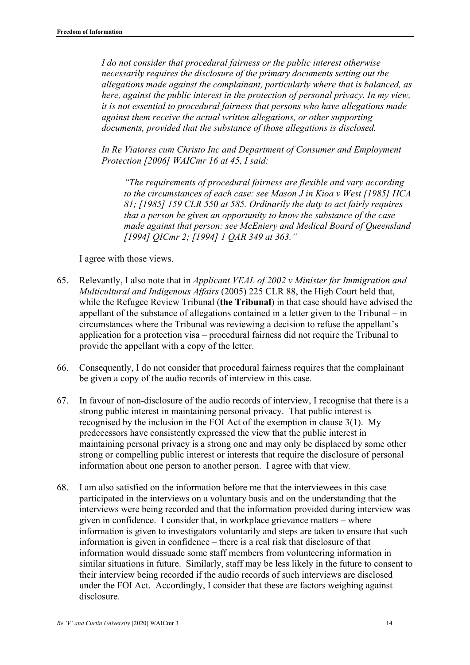*I do not consider that procedural fairness or the public interest otherwise necessarily requires the disclosure of the primary documents setting out the allegations made against the complainant, particularly where that is balanced, as here, against the public interest in the protection of personal privacy. In my view, it is not essential to procedural fairness that persons who have allegations made against them receive the actual written allegations, or other supporting documents, provided that the substance of those allegations is disclosed.* 

*In Re Viatores cum Christo Inc and Department of Consumer and Employment Protection [2006] WAICmr 16 at 45, I said:* 

*"The requirements of procedural fairness are flexible and vary according to the circumstances of each case: see Mason J in Kioa v West [1985] HCA 81; [1985] 159 CLR 550 at 585. Ordinarily the duty to act fairly requires that a person be given an opportunity to know the substance of the case made against that person: see McEniery and Medical Board of Queensland [1994] QICmr 2; [1994] 1 QAR 349 at 363."* 

I agree with those views.

- 65. Relevantly, I also note that in *Applicant VEAL of 2002 v Minister for Immigration and Multicultural and Indigenous Affairs* (2005) 225 CLR 88, the High Court held that, while the Refugee Review Tribunal (**the Tribunal**) in that case should have advised the appellant of the substance of allegations contained in a letter given to the Tribunal – in circumstances where the Tribunal was reviewing a decision to refuse the appellant's application for a protection visa – procedural fairness did not require the Tribunal to provide the appellant with a copy of the letter.
- 66. Consequently, I do not consider that procedural fairness requires that the complainant be given a copy of the audio records of interview in this case.
- 67. In favour of non-disclosure of the audio records of interview, I recognise that there is a strong public interest in maintaining personal privacy. That public interest is recognised by the inclusion in the FOI Act of the exemption in clause 3(1). My predecessors have consistently expressed the view that the public interest in maintaining personal privacy is a strong one and may only be displaced by some other strong or compelling public interest or interests that require the disclosure of personal information about one person to another person. I agree with that view.
- 68. I am also satisfied on the information before me that the interviewees in this case participated in the interviews on a voluntary basis and on the understanding that the interviews were being recorded and that the information provided during interview was given in confidence. I consider that, in workplace grievance matters – where information is given to investigators voluntarily and steps are taken to ensure that such information is given in confidence – there is a real risk that disclosure of that information would dissuade some staff members from volunteering information in similar situations in future. Similarly, staff may be less likely in the future to consent to their interview being recorded if the audio records of such interviews are disclosed under the FOI Act. Accordingly, I consider that these are factors weighing against disclosure.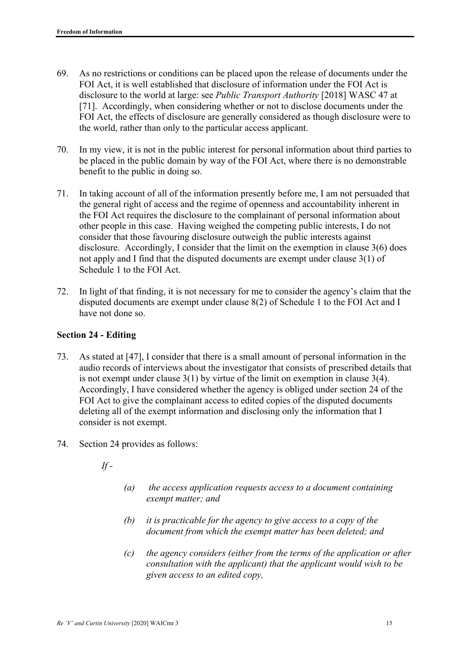- 69. As no restrictions or conditions can be placed upon the release of documents under the FOI Act, it is well established that disclosure of information under the FOI Act is disclosure to the world at large: see *Public Transport Authority* [2018] WASC 47 at [71]. Accordingly, when considering whether or not to disclose documents under the FOI Act, the effects of disclosure are generally considered as though disclosure were to the world, rather than only to the particular access applicant.
- 70. In my view, it is not in the public interest for personal information about third parties to be placed in the public domain by way of the FOI Act, where there is no demonstrable benefit to the public in doing so.
- 71. In taking account of all of the information presently before me, I am not persuaded that the general right of access and the regime of openness and accountability inherent in the FOI Act requires the disclosure to the complainant of personal information about other people in this case. Having weighed the competing public interests, I do not consider that those favouring disclosure outweigh the public interests against disclosure. Accordingly, I consider that the limit on the exemption in clause 3(6) does not apply and I find that the disputed documents are exempt under clause 3(1) of Schedule 1 to the FOI Act.
- 72. In light of that finding, it is not necessary for me to consider the agency's claim that the disputed documents are exempt under clause 8(2) of Schedule 1 to the FOI Act and I have not done so.

#### **Section 24 - Editing**

- 73. As stated at [47], I consider that there is a small amount of personal information in the audio records of interviews about the investigator that consists of prescribed details that is not exempt under clause 3(1) by virtue of the limit on exemption in clause 3(4). Accordingly, I have considered whether the agency is obliged under section 24 of the FOI Act to give the complainant access to edited copies of the disputed documents deleting all of the exempt information and disclosing only the information that I consider is not exempt.
- 74. Section 24 provides as follows:
	- *If*
- *(a) the access application requests access to a document containing exempt matter; and*
- *(b) it is practicable for the agency to give access to a copy of the document from which the exempt matter has been deleted; and*
- *(c) the agency considers (either from the terms of the application or after consultation with the applicant) that the applicant would wish to be given access to an edited copy,*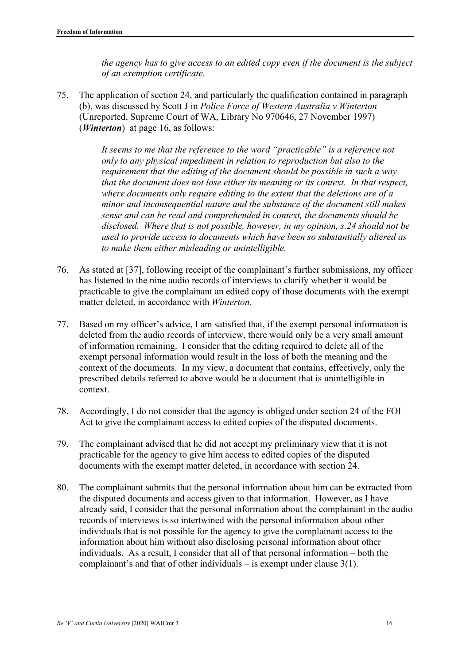*the agency has to give access to an edited copy even if the document is the subject of an exemption certificate.* 

75. The application of section 24, and particularly the qualification contained in paragraph (b), was discussed by Scott J in *Police Force of Western Australia v Winterton*  (Unreported, Supreme Court of WA, Library No 970646, 27 November 1997) (*Winterton*) at page 16, as follows:

> *It seems to me that the reference to the word "practicable" is a reference not only to any physical impediment in relation to reproduction but also to the requirement that the editing of the document should be possible in such a way that the document does not lose either its meaning or its context. In that respect, where documents only require editing to the extent that the deletions are of a minor and inconsequential nature and the substance of the document still makes sense and can be read and comprehended in context, the documents should be disclosed. Where that is not possible, however, in my opinion, s.24 should not be used to provide access to documents which have been so substantially altered as to make them either misleading or unintelligible.*

- 76. As stated at [37], following receipt of the complainant's further submissions, my officer has listened to the nine audio records of interviews to clarify whether it would be practicable to give the complainant an edited copy of those documents with the exempt matter deleted, in accordance with *Winterton*.
- 77. Based on my officer's advice, I am satisfied that, if the exempt personal information is deleted from the audio records of interview, there would only be a very small amount of information remaining. I consider that the editing required to delete all of the exempt personal information would result in the loss of both the meaning and the context of the documents. In my view, a document that contains, effectively, only the prescribed details referred to above would be a document that is unintelligible in context.
- 78. Accordingly, I do not consider that the agency is obliged under section 24 of the FOI Act to give the complainant access to edited copies of the disputed documents.
- 79. The complainant advised that he did not accept my preliminary view that it is not practicable for the agency to give him access to edited copies of the disputed documents with the exempt matter deleted, in accordance with section 24.
- 80. The complainant submits that the personal information about him can be extracted from the disputed documents and access given to that information. However, as I have already said, I consider that the personal information about the complainant in the audio records of interviews is so intertwined with the personal information about other individuals that is not possible for the agency to give the complainant access to the information about him without also disclosing personal information about other individuals. As a result, I consider that all of that personal information – both the complainant's and that of other individuals – is exempt under clause 3(1).